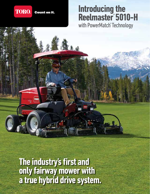

#### **Count on it.**

**TORE** 

# **Introducing the Reelmaster® 5010-H**

with PowerMatch<sup>™</sup> Technology

**The industry's first and only fairway mower with a true hybrid drive system.**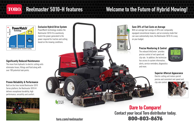## **Reelmaster® 5010-H features TORO.**

# **Welcome to the Future of Hybrid Mowing!**



# Exclusive Hybrid Drive System

PowerMatch technology enables the Reelmaster 5010-H to seamlessly match the power generated to the power required for traction and cutting based on the mowing conditions.

## Significantly Reduced Maintenance

The move from hydraulic to electric cutting units eliminates hoses, fittings and fluid along with over 100 potential leak points.

## Proven Reliability & Performance

Built on the time-tested Reelmaster 5010 Series platform, the Reelmaster 5010-H delivers exceptional durability, high performance, versatility and comfort.





### Save 20% of Fuel Costs on Average

With an average fuel savings of 20% over comparably equipped conventional mowers, and an economy mode that can save substantially more, the Reelmaster 5010-H is easy

#### Precise Monitoring & Control

The onboard InfoCenter™ provides precise control of reel speed and clip rate. In addition, the technician has access to system information, alerts, service reminders, diagnostics



#### Superior Aftercut Appearance

Electric cutting unit motors permit precise and consistent reel speed and clip rate control.



# 800-803-8676 **Contact your local Toro distributor today. Dare to Compare!**

**toro.com/reelmaster**